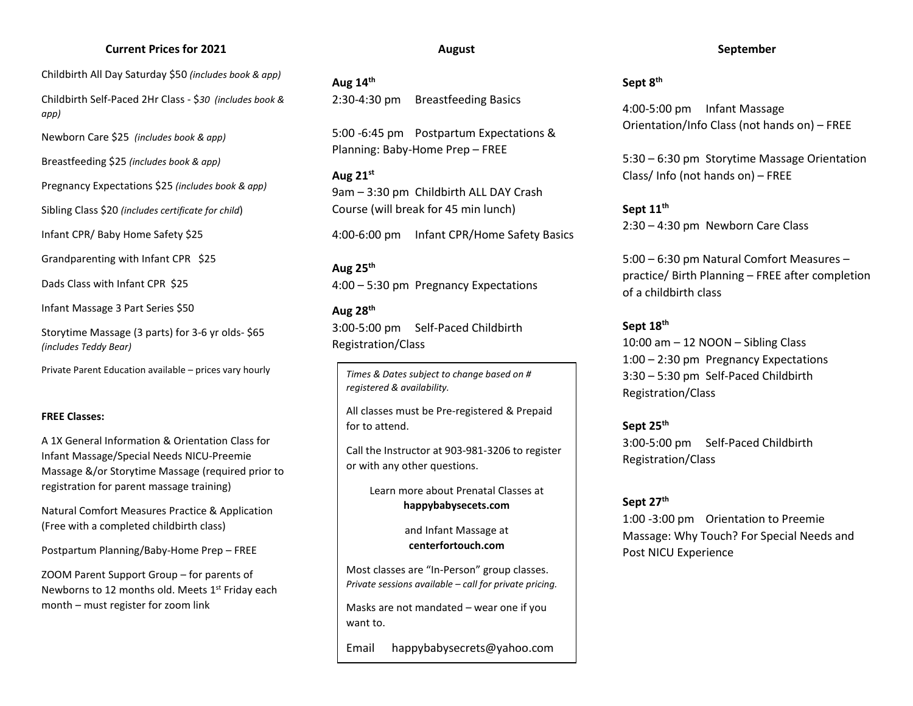### **Current Prices for 2021**

Childbirth All Day Saturday \$50 *(includes book & app)*

Childbirth Self-Paced 2Hr Class - \$*30 (includes book & app)*

Newborn Care \$25 *(includes book & app)*

Breastfeeding \$25 *(includes book & app)*

Pregnancy Expectations \$25 *(includes book & app)*

Sibling Class \$20 *(includes certificate for child*)

Infant CPR/ Baby Home Safety \$25

Grandparenting with Infant CPR \$25

Dads Class with Infant CPR \$25

Infant Massage 3 Part Series \$50

Storytime Massage (3 parts) for 3-6 yr olds- \$65 *(includes Teddy Bear)*

Private Parent Education available – prices vary hourly

#### **FREE Classes:**

A 1X General Information & Orientation Class for Infant Massage/Special Needs NICU-Preemie Massage &/or Storytime Massage (required prior to registration for parent massage training)

Natural Comfort Measures Practice & Application (Free with a completed childbirth class)

Postpartum Planning/Baby-Home Prep – FREE

ZOOM Parent Support Group – for parents of Newborns to 12 months old. Meets 1<sup>st</sup> Friday each month – must register for zoom link

#### **August**

**Aug 14th** 2:30-4:30 pm Breastfeeding Basics

5:00 -6:45 pm Postpartum Expectations & Planning: Baby-Home Prep – FREE

**Aug 21st** 9am – 3:30 pm Childbirth ALL DAY Crash Course (will break for 45 min lunch)

4:00-6:00 pm Infant CPR/Home Safety Basics

**Aug 25th** 4:00 – 5:30 pm Pregnancy Expectations

### **Aug 28th**

3:00-5:00 pm Self-Paced Childbirth Registration/Class

*Times & Dates subject to change based on # registered & availability.* 

All classes must be Pre-registered & Prepaid for to attend.

Call the Instructor at 903-981-3206 to register or with any other questions.

> Learn more about Prenatal Classes at **happybabysecets.com**

> > and Infant Massage at **centerfortouch.com**

Most classes are "In-Person" group classes. *Private sessions available – call for private pricing.* 

Masks are not mandated – wear one if you want to.

Email happybabysecrets@yahoo.com

#### **September**

### **Sept 8th**

4:00-5:00 pm Infant Massage Orientation/Info Class (not hands on) – FREE

5:30 – 6:30 pm Storytime Massage Orientation Class/ Info (not hands on) – FREE

**Sept 11th** 2:30 – 4:30 pm Newborn Care Class

5:00 – 6:30 pm Natural Comfort Measures – practice/ Birth Planning – FREE after completion of a childbirth class

### **Sept 18th**

10:00 am – 12 NOON – Sibling Class 1:00 – 2:30 pm Pregnancy Expectations 3:30 – 5:30 pm Self-Paced Childbirth Registration/Class

**Sept 25th**  3:00-5:00 pm Self-Paced Childbirth Registration/Class

**Sept 27th**

1:00 -3:00 pm Orientation to Preemie Massage: Why Touch? For Special Needs and Post NICU Experience